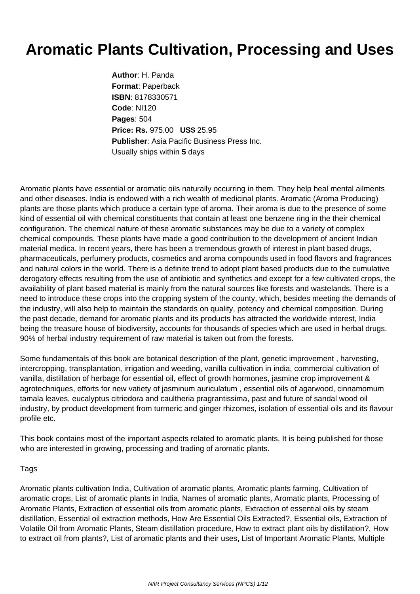## **Aromatic Plants Cultivation, Processing and Uses**

**Author**: H. Panda **Format**: Paperback **ISBN**: 8178330571 **Code**: NI120 **Pages**: 504 **Price: Rs.** 975.00 **US\$** 25.95 **Publisher**: Asia Pacific Business Press Inc. Usually ships within **5** days

Aromatic plants have essential or aromatic oils naturally occurring in them. They help heal mental ailments and other diseases. India is endowed with a rich wealth of medicinal plants. Aromatic (Aroma Producing) plants are those plants which produce a certain type of aroma. Their aroma is due to the presence of some kind of essential oil with chemical constituents that contain at least one benzene ring in the their chemical configuration. The chemical nature of these aromatic substances may be due to a variety of complex chemical compounds. These plants have made a good contribution to the development of ancient Indian material medica. In recent years, there has been a tremendous growth of interest in plant based drugs, pharmaceuticals, perfumery products, cosmetics and aroma compounds used in food flavors and fragrances and natural colors in the world. There is a definite trend to adopt plant based products due to the cumulative derogatory effects resulting from the use of antibiotic and synthetics and except for a few cultivated crops, the availability of plant based material is mainly from the natural sources like forests and wastelands. There is a need to introduce these crops into the cropping system of the county, which, besides meeting the demands of the industry, will also help to maintain the standards on quality, potency and chemical composition. During the past decade, demand for aromatic plants and its products has attracted the worldwide interest, India being the treasure house of biodiversity, accounts for thousands of species which are used in herbal drugs. 90% of herbal industry requirement of raw material is taken out from the forests.

Some fundamentals of this book are botanical description of the plant, genetic improvement , harvesting, intercropping, transplantation, irrigation and weeding, vanilla cultivation in india, commercial cultivation of vanilla, distillation of herbage for essential oil, effect of growth hormones, jasmine crop improvement & agrotechniques, efforts for new vatiety of jasminum auriculatum , essential oils of agarwood, cinnamomum tamala leaves, eucalyptus citriodora and caultheria pragrantissima, past and future of sandal wood oil industry, by product development from turmeric and ginger rhizomes, isolation of essential oils and its flavour profile etc.

This book contains most of the important aspects related to aromatic plants. It is being published for those who are interested in growing, processing and trading of aromatic plants.

## Tags

Aromatic plants cultivation India, Cultivation of aromatic plants, Aromatic plants farming, Cultivation of aromatic crops, List of aromatic plants in India, Names of aromatic plants, Aromatic plants, Processing of Aromatic Plants, Extraction of essential oils from aromatic plants, Extraction of essential oils by steam distillation, Essential oil extraction methods, How Are Essential Oils Extracted?, Essential oils, Extraction of Volatile Oil from Aromatic Plants, Steam distillation procedure, How to extract plant oils by distillation?, How to extract oil from plants?, List of aromatic plants and their uses, List of Important Aromatic Plants, Multiple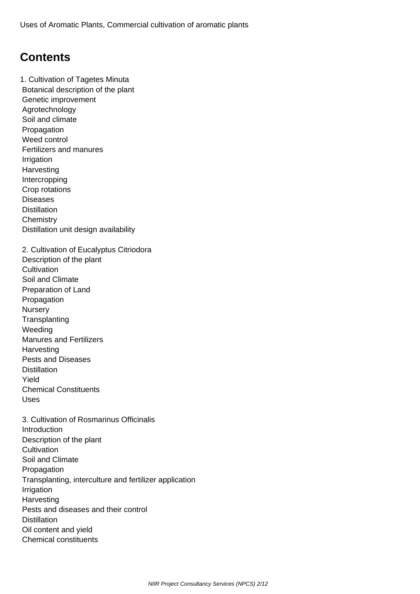## **Contents**

1. Cultivation of Tagetes Minuta Botanical description of the plant Genetic improvement Agrotechnology Soil and climate Propagation Weed control Fertilizers and manures Irrigation **Harvesting**  Intercropping Crop rotations **Diseases Distillation Chemistry**  Distillation unit design availability 2. Cultivation of Eucalyptus Citriodora Description of the plant **Cultivation**  Soil and Climate Preparation of Land Propagation **Nursery Transplanting**  Weeding Manures and Fertilizers **Harvesting**  Pests and Diseases **Distillation**  Yield Chemical Constituents Uses 3. Cultivation of Rosmarinus Officinalis **Introduction**  Description of the plant **Cultivation**  Soil and Climate Propagation Transplanting, interculture and fertilizer application Irrigation **Harvesting**  Pests and diseases and their control **Distillation**  Oil content and yield Chemical constituents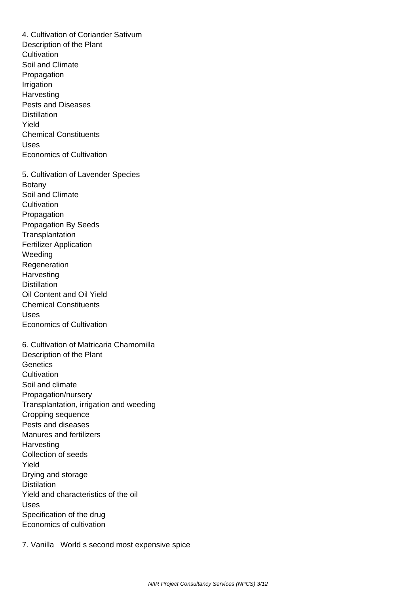4. Cultivation of Coriander Sativum Description of the Plant **Cultivation**  Soil and Climate **Propagation**  Irrigation **Harvesting**  Pests and Diseases **Distillation**  Yield Chemical Constituents Uses Economics of Cultivation 5. Cultivation of Lavender Species Botany Soil and Climate **Cultivation Propagation**  Propagation By Seeds **Transplantation**  Fertilizer Application Weeding **Regeneration**  Harvesting **Distillation**  Oil Content and Oil Yield Chemical Constituents Uses Economics of Cultivation 6. Cultivation of Matricaria Chamomilla Description of the Plant **Genetics Cultivation**  Soil and climate Propagation/nursery Transplantation, irrigation and weeding Cropping sequence Pests and diseases Manures and fertilizers **Harvesting**  Collection of seeds Yield Drying and storage **Distilation**  Yield and characteristics of the oil Uses Specification of the drug Economics of cultivation

7. Vanilla World s second most expensive spice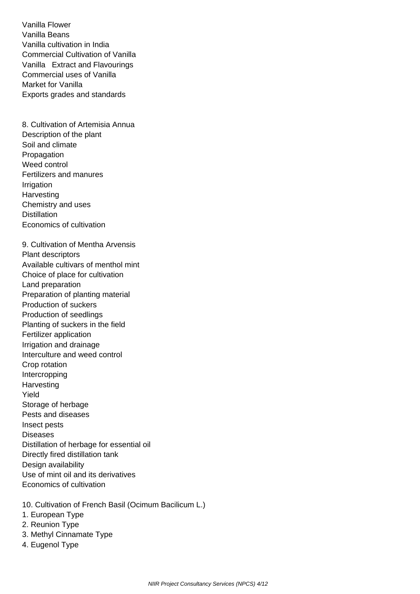Vanilla Flower Vanilla Beans Vanilla cultivation in India Commercial Cultivation of Vanilla Vanilla Extract and Flavourings Commercial uses of Vanilla Market for Vanilla Exports grades and standards

 8. Cultivation of Artemisia Annua Description of the plant Soil and climate **Propagation**  Weed control Fertilizers and manures Irrigation **Harvesting**  Chemistry and uses **Distillation** Economics of cultivation

 9. Cultivation of Mentha Arvensis Plant descriptors Available cultivars of menthol mint Choice of place for cultivation Land preparation Preparation of planting material Production of suckers Production of seedlings Planting of suckers in the field Fertilizer application Irrigation and drainage Interculture and weed control Crop rotation **Intercropping Harvesting**  Yield Storage of herbage Pests and diseases Insect pests **Diseases**  Distillation of herbage for essential oil Directly fired distillation tank Design availability Use of mint oil and its derivatives Economics of cultivation

- 10. Cultivation of French Basil (Ocimum Bacilicum L.)
- 1. European Type
- 2. Reunion Type
- 3. Methyl Cinnamate Type
- 4. Eugenol Type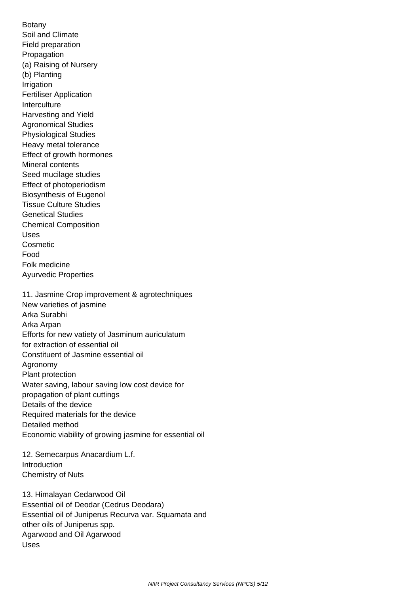Botany Soil and Climate Field preparation Propagation (a) Raising of Nursery (b) Planting Irrigation Fertiliser Application **Interculture**  Harvesting and Yield Agronomical Studies Physiological Studies Heavy metal tolerance Effect of growth hormones Mineral contents Seed mucilage studies Effect of photoperiodism Biosynthesis of Eugenol Tissue Culture Studies Genetical Studies Chemical Composition Uses **Cosmetic**  Food Folk medicine Ayurvedic Properties 11. Jasmine Crop improvement & agrotechniques New varieties of jasmine Arka Surabhi Arka Arpan Efforts for new vatiety of Jasminum auriculatum for extraction of essential oil Constituent of Jasmine essential oil Agronomy Plant protection Water saving, labour saving low cost device for propagation of plant cuttings Details of the device Required materials for the device Detailed method Economic viability of growing jasmine for essential oil

 12. Semecarpus Anacardium L.f. Introduction Chemistry of Nuts

 13. Himalayan Cedarwood Oil Essential oil of Deodar (Cedrus Deodara) Essential oil of Juniperus Recurva var. Squamata and other oils of Juniperus spp. Agarwood and Oil Agarwood Uses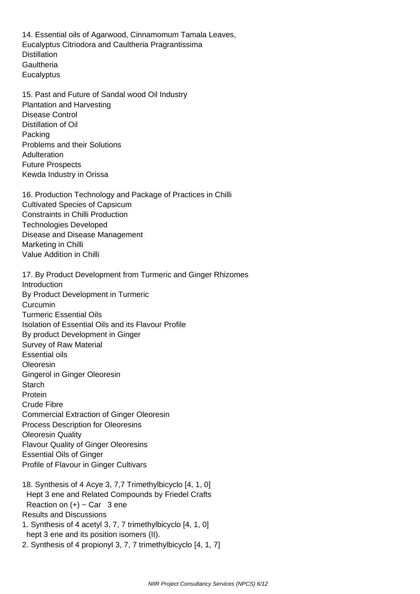14. Essential oils of Agarwood, Cinnamomum Tamala Leaves, Eucalyptus Citriodora and Caultheria Pragrantissima **Distillation Gaultheria Eucalyptus** 

 15. Past and Future of Sandal wood Oil Industry Plantation and Harvesting Disease Control Distillation of Oil Packing Problems and their Solutions **Adulteration**  Future Prospects Kewda Industry in Orissa

 16. Production Technology and Package of Practices in Chilli Cultivated Species of Capsicum Constraints in Chilli Production Technologies Developed Disease and Disease Management Marketing in Chilli Value Addition in Chilli

 17. By Product Development from Turmeric and Ginger Rhizomes **Introduction**  By Product Development in Turmeric Curcumin Turmeric Essential Oils Isolation of Essential Oils and its Flavour Profile By product Development in Ginger Survey of Raw Material Essential oils Oleoresin Gingerol in Ginger Oleoresin **Starch**  Protein Crude Fibre Commercial Extraction of Ginger Oleoresin Process Description for Oleoresins Oleoresin Quality Flavour Quality of Ginger Oleoresins Essential Oils of Ginger Profile of Flavour in Ginger Cultivars

- 18. Synthesis of 4 Acye 3, 7,7 Trimethylbicyclo [4, 1, 0] Hept 3 ene and Related Compounds by Friedel Crafts Reaction on  $(+)$  ~ Car 3 ene Results and Discussions
- 1. Synthesis of 4 acetyl 3, 7, 7 trimethylbicyclo [4, 1, 0] hept 3 ene and its position isomers (II).
- 2. Synthesis of 4 propionyl 3, 7, 7 trimethylbicyclo [4, 1, 7]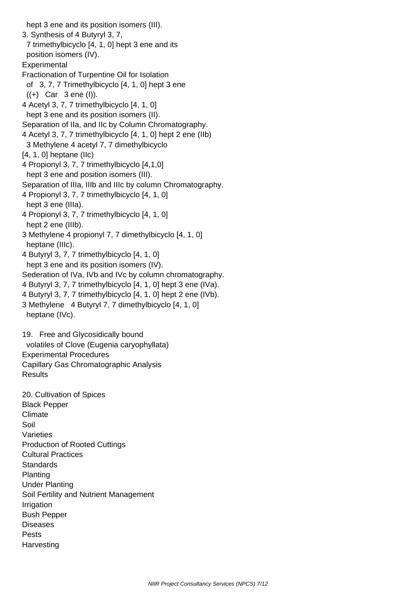hept 3 ene and its position isomers (III). 3. Synthesis of 4 Butyryl 3, 7, 7 trimethylbicyclo [4, 1, 0] hept 3 ene and its position isomers (IV). **Experimental**  Fractionation of Turpentine Oil for Isolation of 3, 7, 7 Trimethylbicyclo [4, 1, 0] hept 3 ene  $((+)$  Car 3 ene (I)). 4 Acetyl 3, 7, 7 trimethylbicyclo [4, 1, 0] hept 3 ene and its position isomers (II). Separation of IIa, and IIc by Column Chromatography. 4 Acetyl 3, 7, 7 trimethylbicyclo [4, 1, 0] hept 2 ene (IIb) 3 Methylene 4 acetyl 7, 7 dimethylbicyclo  $[4, 1, 0]$  heptane  $(I|c)$  4 Propionyl 3, 7, 7 trimethylbicyclo [4,1,0] hept 3 ene and position isomers (III). Separation of IIIa, IIIb and IIIc by column Chromatography. 4 Propionyl 3, 7, 7 trimethylbicyclo [4, 1, 0] hept 3 ene (IIIa). 4 Propionyl 3, 7, 7 trimethylbicyclo [4, 1, 0] hept 2 ene (IIIb). 3 Methylene 4 propionyl 7, 7 dimethylbicyclo [4, 1, 0] heptane (IIIc). 4 Butyryl 3, 7, 7 trimethylbicyclo [4, 1, 0] hept 3 ene and its position isomers (IV). Sederation of IVa, IVb and IVc by column chromatography. 4 Butyryl 3, 7, 7 trimethylbicyclo [4, 1, 0] hept 3 ene (IVa). 4 Butyryl 3, 7, 7 trimethylbicyclo [4, 1, 0] hept 2 ene (IVb). 3 Methylene 4 Butyryl 7, 7 dimethylbicyclo [4, 1, 0] heptane (IVc). 19. Free and Glycosidically bound volatiles of Clove (Eugenia caryophyllata) Experimental Procedures Capillary Gas Chromatographic Analysis **Results**  20. Cultivation of Spices Black Pepper Climate Soil Varieties Production of Rooted Cuttings Cultural Practices

 Bush Pepper Diseases Pests

Soil Fertility and Nutrient Management

**Harvesting** 

Irrigation

**Standards** Planting

Under Planting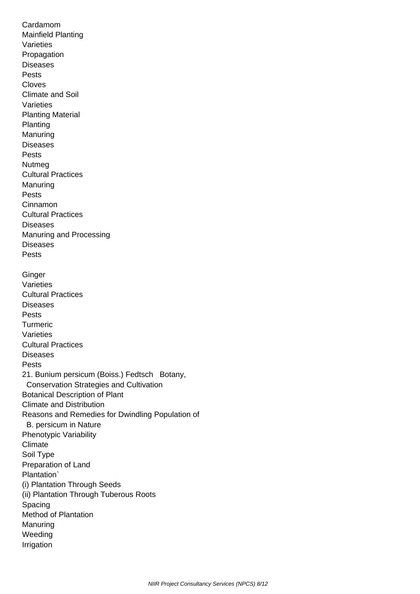Cardamom Mainfield Planting Varieties Propagation **Diseases**  Pests Cloves Climate and Soil Varieties Planting Material Planting Manuring Diseases Pests Nutmeg Cultural Practices Manuring Pests Cinnamon Cultural Practices **Diseases**  Manuring and Processing **Diseases**  Pests **Ginger**  Varieties Cultural Practices **Diseases**  Pests Turmeric Varieties Cultural Practices **Diseases**  Pests 21. Bunium persicum (Boiss.) Fedtsch Botany, Conservation Strategies and Cultivation Botanical Description of Plant Climate and Distribution Reasons and Remedies for Dwindling Population of B. persicum in Nature Phenotypic Variability **Climate**  Soil Type Preparation of Land Plantation` (i) Plantation Through Seeds (ii) Plantation Through Tuberous Roots Spacing Method of Plantation Manuring Weeding Irrigation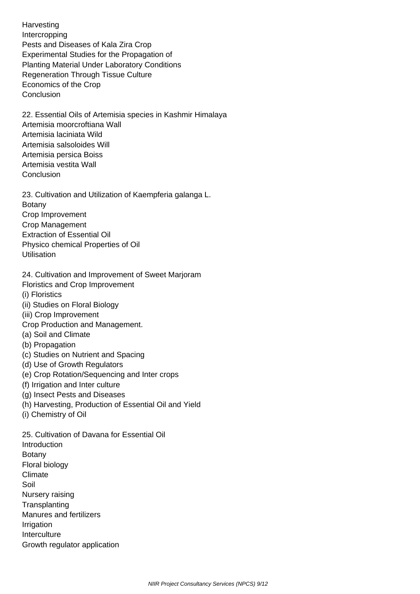**Harvesting**  Intercropping Pests and Diseases of Kala Zira Crop Experimental Studies for the Propagation of Planting Material Under Laboratory Conditions Regeneration Through Tissue Culture Economics of the Crop **Conclusion** 

 22. Essential Oils of Artemisia species in Kashmir Himalaya Artemisia moorcroftiana Wall Artemisia laciniata Wild Artemisia salsoloides Will Artemisia persica Boiss Artemisia vestita Wall **Conclusion** 

 23. Cultivation and Utilization of Kaempferia galanga L. Botany Crop Improvement Crop Management Extraction of Essential Oil Physico chemical Properties of Oil **Utilisation** 

24. Cultivation and Improvement of Sweet Marjoram

Floristics and Crop Improvement

(i) Floristics

- (ii) Studies on Floral Biology
- (iii) Crop Improvement

Crop Production and Management.

- (a) Soil and Climate
- (b) Propagation
- (c) Studies on Nutrient and Spacing
- (d) Use of Growth Regulators
- (e) Crop Rotation/Sequencing and Inter crops
- (f) Irrigation and Inter culture
- (g) Insect Pests and Diseases
- (h) Harvesting, Production of Essential Oil and Yield
- (i) Chemistry of Oil

 25. Cultivation of Davana for Essential Oil **Introduction**  Botany Floral biology Climate Soil Nursery raising **Transplanting**  Manures and fertilizers Irrigation Interculture Growth regulator application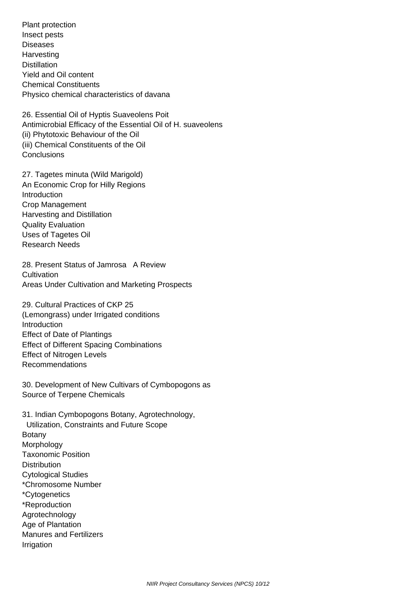Plant protection Insect pests Diseases Harvesting **Distillation**  Yield and Oil content Chemical Constituents Physico chemical characteristics of davana

 26. Essential Oil of Hyptis Suaveolens Poit Antimicrobial Efficacy of the Essential Oil of H. suaveolens (ii) Phytotoxic Behaviour of the Oil (iii) Chemical Constituents of the Oil **Conclusions** 

 27. Tagetes minuta (Wild Marigold) An Economic Crop for Hilly Regions Introduction Crop Management Harvesting and Distillation Quality Evaluation Uses of Tagetes Oil Research Needs

 28. Present Status of Jamrosa A Review **Cultivation** Areas Under Cultivation and Marketing Prospects

 29. Cultural Practices of CKP 25 (Lemongrass) under Irrigated conditions Introduction Effect of Date of Plantings Effect of Different Spacing Combinations Effect of Nitrogen Levels Recommendations

 30. Development of New Cultivars of Cymbopogons as Source of Terpene Chemicals

 31. Indian Cymbopogons Botany, Agrotechnology, Utilization, Constraints and Future Scope Botany Morphology Taxonomic Position **Distribution**  Cytological Studies \*Chromosome Number \*Cytogenetics \*Reproduction Agrotechnology Age of Plantation Manures and Fertilizers Irrigation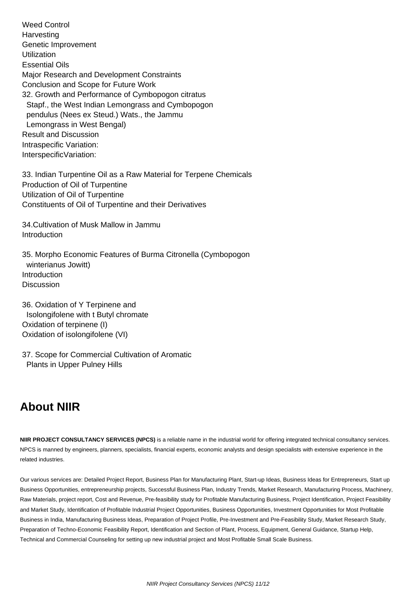Weed Control **Harvesting**  Genetic Improvement **Utilization**  Essential Oils Major Research and Development Constraints Conclusion and Scope for Future Work 32. Growth and Performance of Cymbopogon citratus Stapf., the West Indian Lemongrass and Cymbopogon pendulus (Nees ex Steud.) Wats., the Jammu Lemongrass in West Bengal) Result and Discussion Intraspecific Variation: InterspecificVariation:

 33. Indian Turpentine Oil as a Raw Material for Terpene Chemicals Production of Oil of Turpentine Utilization of Oil of Turpentine Constituents of Oil of Turpentine and their Derivatives

 34.Cultivation of Musk Mallow in Jammu Introduction

 35. Morpho Economic Features of Burma Citronella (Cymbopogon winterianus Jowitt) Introduction **Discussion** 

 36. Oxidation of Y Terpinene and Isolongifolene with t Butyl chromate Oxidation of terpinene (I) Oxidation of isolongifolene (VI)

 37. Scope for Commercial Cultivation of Aromatic Plants in Upper Pulney Hills

## **About NIIR**

**NIIR PROJECT CONSULTANCY SERVICES (NPCS)** is a reliable name in the industrial world for offering integrated technical consultancy services. NPCS is manned by engineers, planners, specialists, financial experts, economic analysts and design specialists with extensive experience in the related industries.

Our various services are: Detailed Project Report, Business Plan for Manufacturing Plant, Start-up Ideas, Business Ideas for Entrepreneurs, Start up Business Opportunities, entrepreneurship projects, Successful Business Plan, Industry Trends, Market Research, Manufacturing Process, Machinery, Raw Materials, project report, Cost and Revenue, Pre-feasibility study for Profitable Manufacturing Business, Project Identification, Project Feasibility and Market Study, Identification of Profitable Industrial Project Opportunities, Business Opportunities, Investment Opportunities for Most Profitable Business in India, Manufacturing Business Ideas, Preparation of Project Profile, Pre-Investment and Pre-Feasibility Study, Market Research Study, Preparation of Techno-Economic Feasibility Report, Identification and Section of Plant, Process, Equipment, General Guidance, Startup Help, Technical and Commercial Counseling for setting up new industrial project and Most Profitable Small Scale Business.